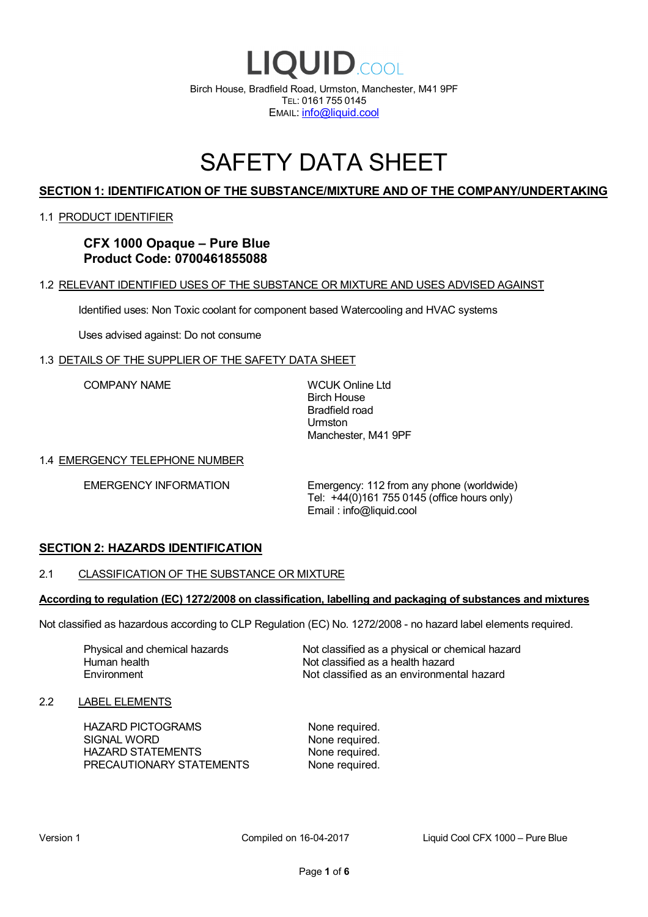

# SAFETY DATA SHEET

# **SECTION 1: IDENTIFICATION OF THE SUBSTANCE/MIXTURE AND OF THE COMPANY/UNDERTAKING**

#### 1.1 PRODUCT IDENTIFIER

**CFX 1000 Opaque – Pure Blue Product Code: 0700461855088**

#### 1.2 RELEVANT IDENTIFIED USES OF THE SUBSTANCE OR MIXTURE AND USES ADVISED AGAINST

Identified uses: Non Toxic coolant for component based Watercooling and HVAC systems

Uses advised against: Do not consume

#### 1.3 DETAILS OF THE SUPPLIER OF THE SAFETY DATA SHEET

COMPANY NAME WCUK Online Ltd

Birch House Bradfield road Urmston Manchester, M41 9PF

#### 1.4 EMERGENCY TELEPHONE NUMBER

EMERGENCY INFORMATION Emergency: 112 from any phone (worldwide) Tel: +44(0)161 755 0145 (office hours only) Email : info@liquid.cool

#### **SECTION 2: HAZARDS IDENTIFICATION**

# 2.1 CLASSIFICATION OF THE SUBSTANCE OR MIXTURE

# **According to regulation (EC) 1272/2008 on classification, labelling and packaging of substances and mixtures**

Not classified as hazardous according to CLP Regulation (EC) No. 1272/2008 - no hazard label elements required.

Human health **Environment** 

Physical and chemical hazards Not classified as a physical or chemical hazard Not classified as a health hazard Not classified as an environmental hazard

#### 2.2 LABEL ELEMENTS

HAZARD PICTOGRAMS None required. SIGNAL WORD None required. HAZARD STATEMENTS None required. PRECAUTIONARY STATEMENTS None required.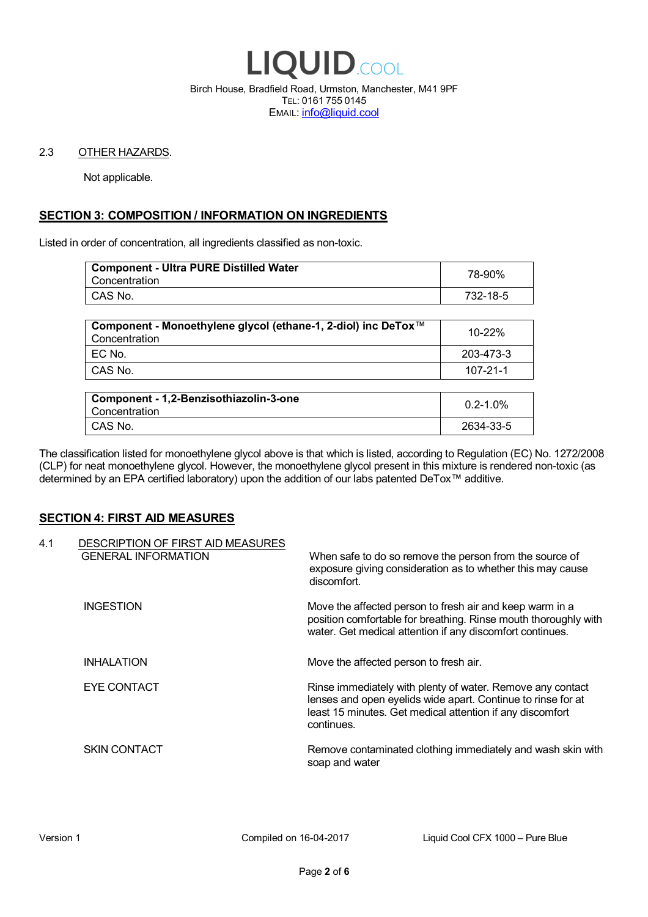

Birch House, Bradfield Road, Urmston, Manchester, M41 9PF TEL: 0161 755 0145 EMAIL: info@liquid.cool

#### 2.3 OTHER HAZARDS.

Not applicable.

# **SECTION 3: COMPOSITION / INFORMATION ON INGREDIENTS**

Listed in order of concentration, all ingredients classified as non-toxic.

| <b>Component - Ultra PURE Distilled Water</b><br>Concentration | 78-90%   |
|----------------------------------------------------------------|----------|
| CAS No.                                                        | 732-18-5 |
|                                                                |          |

| Component - Monoethylene glycol (ethane-1, 2-diol) inc DeTox™<br>Concentration | 10-22%    |
|--------------------------------------------------------------------------------|-----------|
| EC No.                                                                         | 203-473-3 |
| CAS No.                                                                        | 107-21-1  |

| Component - 1,2-Benzisothiazolin-3-one<br>Concentration | $0.2 - 1.0\%$ |
|---------------------------------------------------------|---------------|
| CAS No.                                                 | 2634-33-5     |

The classification listed for monoethylene glycol above is that which is listed, according to Regulation (EC) No. 1272/2008 (CLP) for neat monoethylene glycol. However, the monoethylene glycol present in this mixture is rendered non-toxic (as determined by an EPA certified laboratory) upon the addition of our labs patented DeTox™ additive.

#### **SECTION 4: FIRST AID MEASURES**

| 4.1 | DESCRIPTION OF FIRST AID MEASURES<br><b>GENERAL INFORMATION</b> | When safe to do so remove the person from the source of<br>exposure giving consideration as to whether this may cause<br>discomfort.                                                                  |
|-----|-----------------------------------------------------------------|-------------------------------------------------------------------------------------------------------------------------------------------------------------------------------------------------------|
|     | <b>INGESTION</b>                                                | Move the affected person to fresh air and keep warm in a<br>position comfortable for breathing. Rinse mouth thoroughly with<br>water. Get medical attention if any discomfort continues.              |
|     | <b>INHALATION</b>                                               | Move the affected person to fresh air.                                                                                                                                                                |
|     | EYE CONTACT                                                     | Rinse immediately with plenty of water. Remove any contact<br>lenses and open eyelids wide apart. Continue to rinse for at<br>least 15 minutes. Get medical attention if any discomfort<br>continues. |
|     | <b>SKIN CONTACT</b>                                             | Remove contaminated clothing immediately and wash skin with<br>soap and water                                                                                                                         |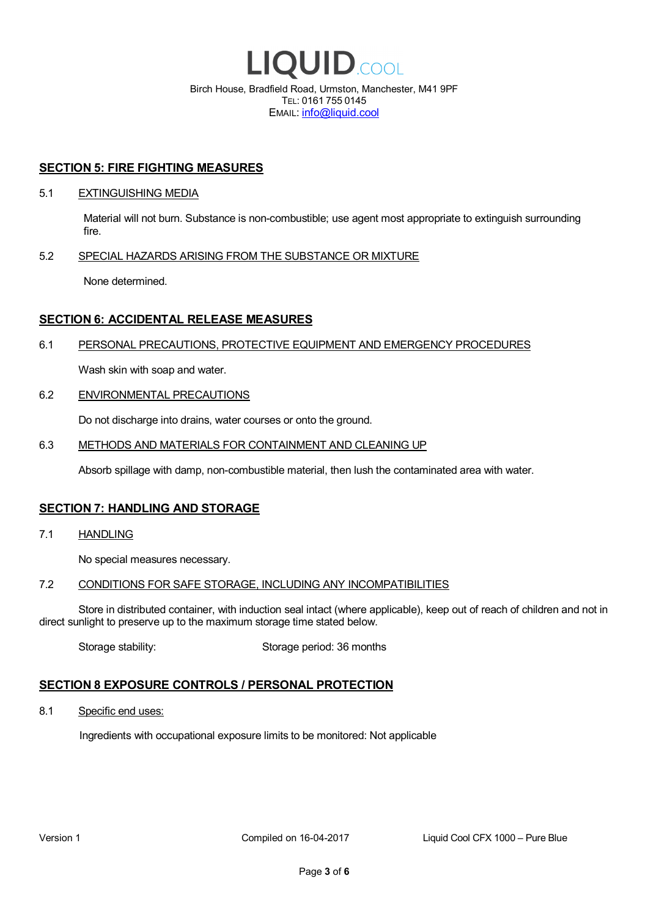

EMAIL: info@liquid.cool

#### **SECTION 5: FIRE FIGHTING MEASURES**

#### 5.1 EXTINGUISHING MEDIA

Material will not burn. Substance is non-combustible; use agent most appropriate to extinguish surrounding fire.

#### 5.2 SPECIAL HAZARDS ARISING FROM THE SUBSTANCE OR MIXTURE

None determined.

### **SECTION 6: ACCIDENTAL RELEASE MEASURES**

#### 6.1 PERSONAL PRECAUTIONS, PROTECTIVE EQUIPMENT AND EMERGENCY PROCEDURES

Wash skin with soap and water.

#### 6.2 ENVIRONMENTAL PRECAUTIONS

Do not discharge into drains, water courses or onto the ground.

#### 6.3 METHODS AND MATERIALS FOR CONTAINMENT AND CLEANING UP

Absorb spillage with damp, non-combustible material, then lush the contaminated area with water.

#### **SECTION 7: HANDLING AND STORAGE**

7.1 HANDLING

No special measures necessary.

#### 7.2 CONDITIONS FOR SAFE STORAGE, INCLUDING ANY INCOMPATIBILITIES

Store in distributed container, with induction seal intact (where applicable), keep out of reach of children and not in direct sunlight to preserve up to the maximum storage time stated below.

Storage stability: Storage period: 36 months

# **SECTION 8 EXPOSURE CONTROLS / PERSONAL PROTECTION**

8.1 Specific end uses:

Ingredients with occupational exposure limits to be monitored: Not applicable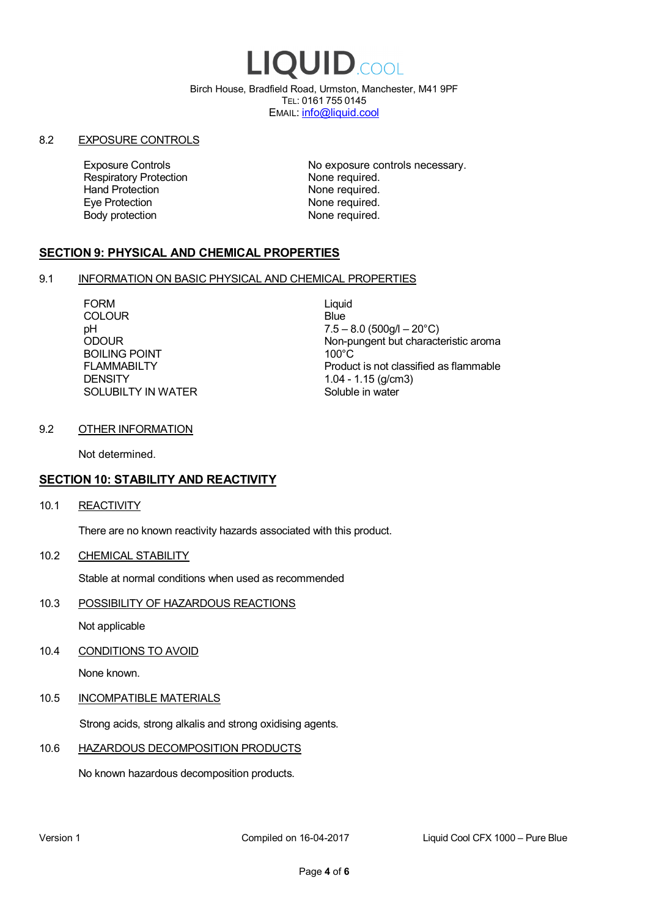# LIQUID.COOL

Birch House, Bradfield Road, Urmston, Manchester, M41 9PF TEL: 0161 755 0145 EMAIL: info@liquid.cool

#### 8.2 EXPOSURE CONTROLS

Respiratory Protection **None required.**<br>
Hand Protection **None required.** Eye Protection **None required.** Body protection None required.

Exposure Controls **Exposure Controls** No exposure controls necessary. None required.

# **SECTION 9: PHYSICAL AND CHEMICAL PROPERTIES**

#### 9.1 INFORMATION ON BASIC PHYSICAL AND CHEMICAL PROPERTIES

FORM Liquid COLOUR Blue BOILING POINT FLAMMABILTY **DENSITY** SOLUBILTY IN WATER

pH<br>
DDOUR
20°C)
2000UR
2000UR
2000UR
2000UR Non-pungent but characteristic aroma 100°C Product is not classified as flammable 1.04 - 1.15 (g/cm3) Soluble in water

#### 9.2 OTHER INFORMATION

Not determined.

# **SECTION 10: STABILITY AND REACTIVITY**

10.1 REACTIVITY

There are no known reactivity hazards associated with this product.

10.2 CHEMICAL STABILITY

Stable at normal conditions when used as recommended

10.3 POSSIBILITY OF HAZARDOUS REACTIONS

Not applicable

10.4 CONDITIONS TO AVOID

None known.

#### 10.5 INCOMPATIBLE MATERIALS

Strong acids, strong alkalis and strong oxidising agents.

#### 10.6 HAZARDOUS DECOMPOSITION PRODUCTS

No known hazardous decomposition products.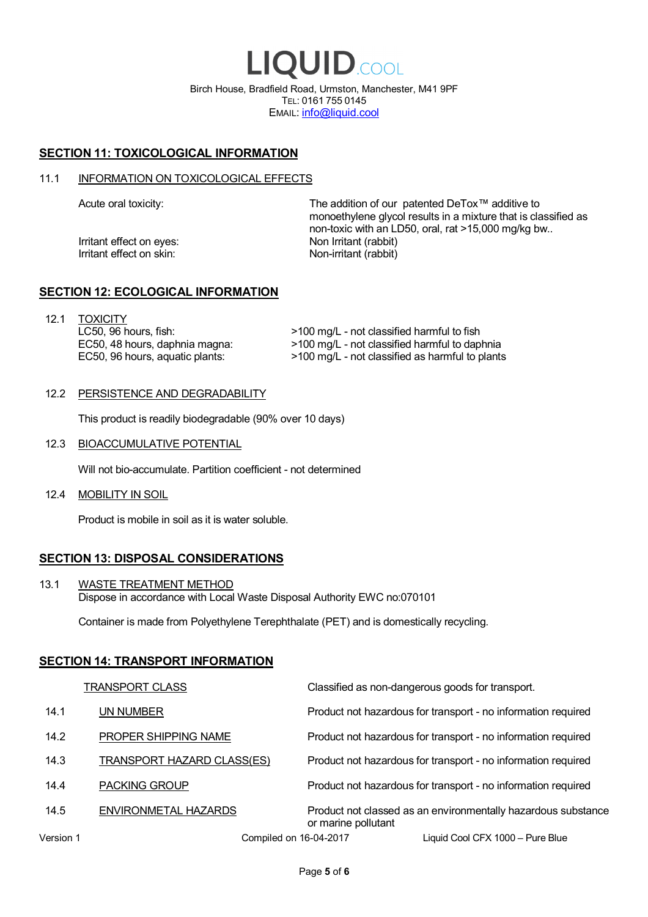LIQUID.COOL Birch House, Bradfield Road, Urmston, Manchester, M41 9PF TEL: 0161 755 0145 EMAIL: info@liquid.cool

# **SECTION 11: TOXICOLOGICAL INFORMATION**

#### 11.1 INFORMATION ON TOXICOLOGICAL EFFECTS

Irritant effect on eves: Non Irritant (rabbit) Irritant effect on skin: Non-irritant (rabbit)

Acute oral toxicity: The addition of our patented DeTox™ additive to monoethylene glycol results in a mixture that is classified as non-toxic with an LD50, oral, rat >15,000 mg/kg bw..

#### **SECTION 12: ECOLOGICAL INFORMATION**

12.1 TOXICITY LC50, 96 hours, fish: EC50, 48 hours, daphnia magna: EC50, 96 hours, aquatic plants:

>100 mg/L - not classified harmful to fish >100 mg/L - not classified harmful to daphnia >100 mg/L - not classified as harmful to plants

#### 12.2 PERSISTENCE AND DEGRADABILITY

This product is readily biodegradable (90% over 10 days)

12.3 BIOACCUMULATIVE POTENTIAL

Will not bio-accumulate. Partition coefficient - not determined

12.4 MOBILITY IN SOIL

Product is mobile in soil as it is water soluble.

# **SECTION 13: DISPOSAL CONSIDERATIONS**

13.1 WASTE TREATMENT METHOD Dispose in accordance with Local Waste Disposal Authority EWC no:070101

Container is made from Polyethylene Terephthalate (PET) and is domestically recycling.

#### **SECTION 14: TRANSPORT INFORMATION**

|           | <b>TRANSPORT CLASS</b>            | Classified as non-dangerous goods for transport.                                     |
|-----------|-----------------------------------|--------------------------------------------------------------------------------------|
| 14.1      | UN NUMBER                         | Product not hazardous for transport - no information required                        |
| 14.2      | PROPER SHIPPING NAME              | Product not hazardous for transport - no information required                        |
| 14.3      | <b>TRANSPORT HAZARD CLASS(ES)</b> | Product not hazardous for transport - no information required                        |
| 14.4      | <b>PACKING GROUP</b>              | Product not hazardous for transport - no information required                        |
| 14.5      | ENVIRONMETAL HAZARDS              | Product not classed as an environmentally hazardous substance<br>or marine pollutant |
| Version 1 | Compiled on 16-04-2017            | Liquid Cool CFX 1000 – Pure Blue                                                     |